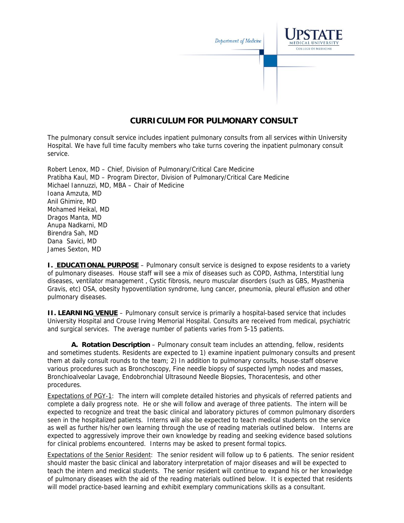

## **CURRICULUM FOR PULMONARY CONSULT**

The pulmonary consult service includes inpatient pulmonary consults from all services within University Hospital. We have full time faculty members who take turns covering the inpatient pulmonary consult service.

Robert Lenox, MD – Chief, Division of Pulmonary/Critical Care Medicine Pratibha Kaul, MD – Program Director, Division of Pulmonary/Critical Care Medicine Michael Iannuzzi, MD, MBA – Chair of Medicine Ioana Amzuta, MD Anil Ghimire, MD Mohamed Heikal, MD Dragos Manta, MD Anupa Nadkarni, MD Birendra Sah, MD Dana Savici, MD James Sexton, MD

**I. EDUCATIONAL PURPOSE** – Pulmonary consult service is designed to expose residents to a variety of pulmonary diseases. House staff will see a mix of diseases such as COPD, Asthma, Interstitial lung diseases, ventilator management , Cystic fibrosis, neuro muscular disorders (such as GBS, Myasthenia Gravis, etc) OSA, obesity hypoventilation syndrome, lung cancer, pneumonia, pleural effusion and other pulmonary diseases.

**II. LEARNING VENUE** – Pulmonary consult service is primarily a hospital-based service that includes University Hospital and Crouse Irving Memorial Hospital. Consults are received from medical, psychiatric and surgical services. The average number of patients varies from 5-15 patients.

**A. Rotation Description** – Pulmonary consult team includes an attending, fellow, residents and sometimes students. Residents are expected to 1) examine inpatient pulmonary consults and present them at daily consult rounds to the team; 2) In addition to pulmonary consults, house-staff observe various procedures such as Bronchoscopy, Fine needle biopsy of suspected lymph nodes and masses, Bronchioalveolar Lavage, Endobronchial Ultrasound Needle Biopsies, Thoracentesis, and other procedures.

Expectations of PGY-1: The intern will complete detailed histories and physicals of referred patients and complete a daily progress note. He or she will follow and average of three patients. The intern will be expected to recognize and treat the basic clinical and laboratory pictures of common pulmonary disorders seen in the hospitalized patients. Interns will also be expected to teach medical students on the service as well as further his/her own learning through the use of reading materials outlined below. Interns are expected to aggressively improve their own knowledge by reading and seeking evidence based solutions for clinical problems encountered. Interns may be asked to present formal topics.

Expectations of the Senior Resident: The senior resident will follow up to 6 patients. The senior resident should master the basic clinical and laboratory interpretation of major diseases and will be expected to teach the intern and medical students. The senior resident will continue to expand his or her knowledge of pulmonary diseases with the aid of the reading materials outlined below. It is expected that residents will model practice-based learning and exhibit exemplary communications skills as a consultant.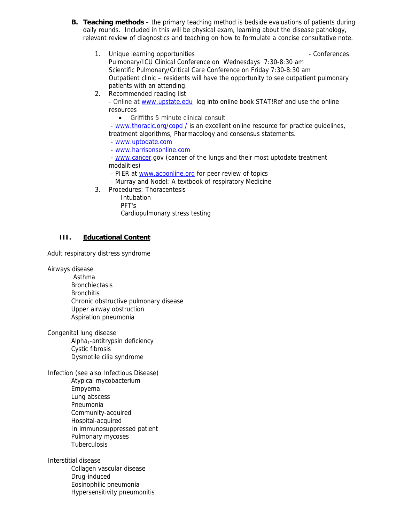- **B. Teaching methods**  the primary teaching method is bedside evaluations of patients during daily rounds. Included in this will be physical exam, learning about the disease pathology, relevant review of diagnostics and teaching on how to formulate a concise consultative note.
	- 1. Unique learning opportunities  $\blacksquare$ Pulmonary/ICU Clinical Conference on Wednesdays 7:30-8:30 am Scientific Pulmonary/Critical Care Conference on Friday 7:30-8:30 am Outpatient clinic – residents will have the opportunity to see outpatient pulmonary patients with an attending.
	- 2. Recommended reading list

- Online at www.upstate.edulog into online book STAT!Ref and use the online resources

• Griffiths 5 minute clinical consult

- www.thoracic.org/copd / is an excellent online resource for practice guidelines, treatment algorithms, Pharmacology and consensus statements.

- www.uptodate.com

- www.harrisonsonline.com

 - www.cancer.gov (cancer of the lungs and their most uptodate treatment modalities)

- PIER at www.acponline.org for peer review of topics
- Murray and Nodel: A textbook of respiratory Medicine
- 3. Procedures: Thoracentesis

 Intubation PFT's Cardiopulmonary stress testing

## **III. Educational Content**

Adult respiratory distress syndrome

Airways disease

 Asthma **Bronchiectasis Bronchitis** Chronic obstructive pulmonary disease Upper airway obstruction Aspiration pneumonia

Congenital lung disease  $Alpha<sub>1</sub>-antitrypsin deficiency$ Cystic fibrosis Dysmotile cilia syndrome

Infection (see also Infectious Disease) Atypical mycobacterium Empyema Lung abscess Pneumonia Community-acquired Hospital-acquired In immunosuppressed patient Pulmonary mycoses **Tuberculosis** 

Interstitial disease Collagen vascular disease Drug-induced Eosinophilic pneumonia Hypersensitivity pneumonitis